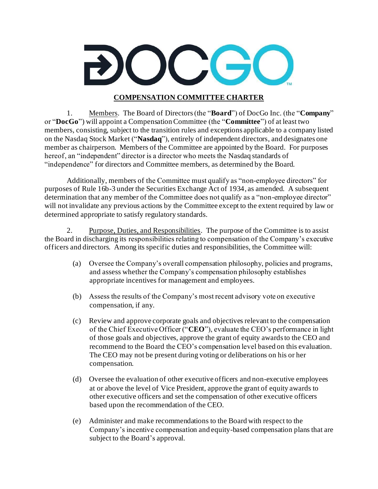

## **COMPENSATION COMMITTEE CHARTER**

1. Members. The Board of Directors (the "**Board**") of DocGo Inc. (the "**Company**" or "**DocGo**") will appoint a Compensation Committee (the "**Committee**") of at least two members, consisting, subject to the transition rules and exceptions applicable to a company listed on the Nasdaq Stock Market ("**Nasdaq**"), entirely of independent directors, and designates one member as chairperson. Members of the Committee are appointed by the Board. For purposes hereof, an "independent" director is a director who meets the Nasdaq standards of "independence" for directors and Committee members, as determined by the Board.

Additionally, members of the Committee must qualify as "non-employee directors" for purposes of Rule 16b-3 under the Securities Exchange Act of 1934, as amended. A subsequent determination that any member of the Committee does not qualify as a "non-employee director" will not invalidate any previous actions by the Committee except to the extent required by law or determined appropriate to satisfy regulatory standards.

2. Purpose, Duties, and Responsibilities. The purpose of the Committee is to assist the Board in discharging its responsibilities relating to compensation of the Company's executive officers and directors. Among its specific duties and responsibilities, the Committee will:

- (a) Oversee the Company's overall compensation philosophy, policies and programs, and assess whether the Company's compensation philosophy establishes appropriate incentives for management and employees.
- (b) Assess the results of the Company's most recent advisory vote on executive compensation, if any.
- (c) Review and approve corporate goals and objectives relevant to the compensation of the Chief Executive Officer ("**CEO**"), evaluate the CEO's performance in light of those goals and objectives, approve the grant of equity awards to the CEO and recommend to the Board the CEO's compensation level based on this evaluation. The CEO may not be present during voting or deliberations on his or her compensation.
- (d) Oversee the evaluation of other executive officers and non-executive employees at or above the level of Vice President, approve the grant of equity awards to other executive officers and set the compensation of other executive officers based upon the recommendation of the CEO.
- (e) Administer and make recommendations to the Board with respect to the Company's incentive compensation and equity-based compensation plans that are subject to the Board's approval.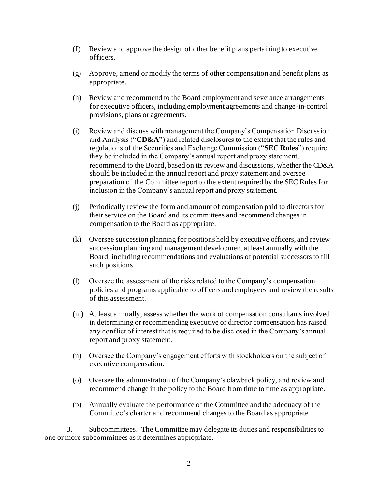- (f) Review and approve the design of other benefit plans pertaining to executive officers.
- (g) Approve, amend or modify the terms of other compensation and benefit plans as appropriate.
- (h) Review and recommend to the Board employment and severance arrangements for executive officers, including employment agreements and change-in-control provisions, plans or agreements.
- (i) Review and discuss with management the Company's Compensation Discussion and Analysis ("**CD&A**") and related disclosures to the extent that the rules and regulations of the Securities and Exchange Commission ("**SEC Rules**") require they be included in the Company's annual report and proxy statement, recommend to the Board, based on its review and discussions, whether the CD&A should be included in the annual report and proxy statement and oversee preparation of the Committee report to the extent required by the SEC Rules for inclusion in the Company's annual report and proxy statement.
- (j) Periodically review the form and amount of compensation paid to directors for their service on the Board and its committees and recommend changes in compensation to the Board as appropriate.
- (k) Oversee succession planning for positions held by executive officers, and review succession planning and management development at least annually with the Board, including recommendations and evaluations of potential successors to fill such positions.
- (l) Oversee the assessment of the risks related to the Company's compensation policies and programs applicable to officers and employees and review the results of this assessment.
- (m) At least annually, assess whether the work of compensation consultants involved in determining or recommending executive or director compensation has raised any conflict of interest that is required to be disclosed in the Company's annual report and proxy statement.
- (n) Oversee the Company's engagement efforts with stockholders on the subject of executive compensation.
- (o) Oversee the administration of the Company's clawback policy, and review and recommend change in the policy to the Board from time to time as appropriate.
- (p) Annually evaluate the performance of the Committee and the adequacy of the Committee's charter and recommend changes to the Board as appropriate.

3. Subcommittees. The Committee may delegate its duties and responsibilities to one or more subcommittees as it determines appropriate.